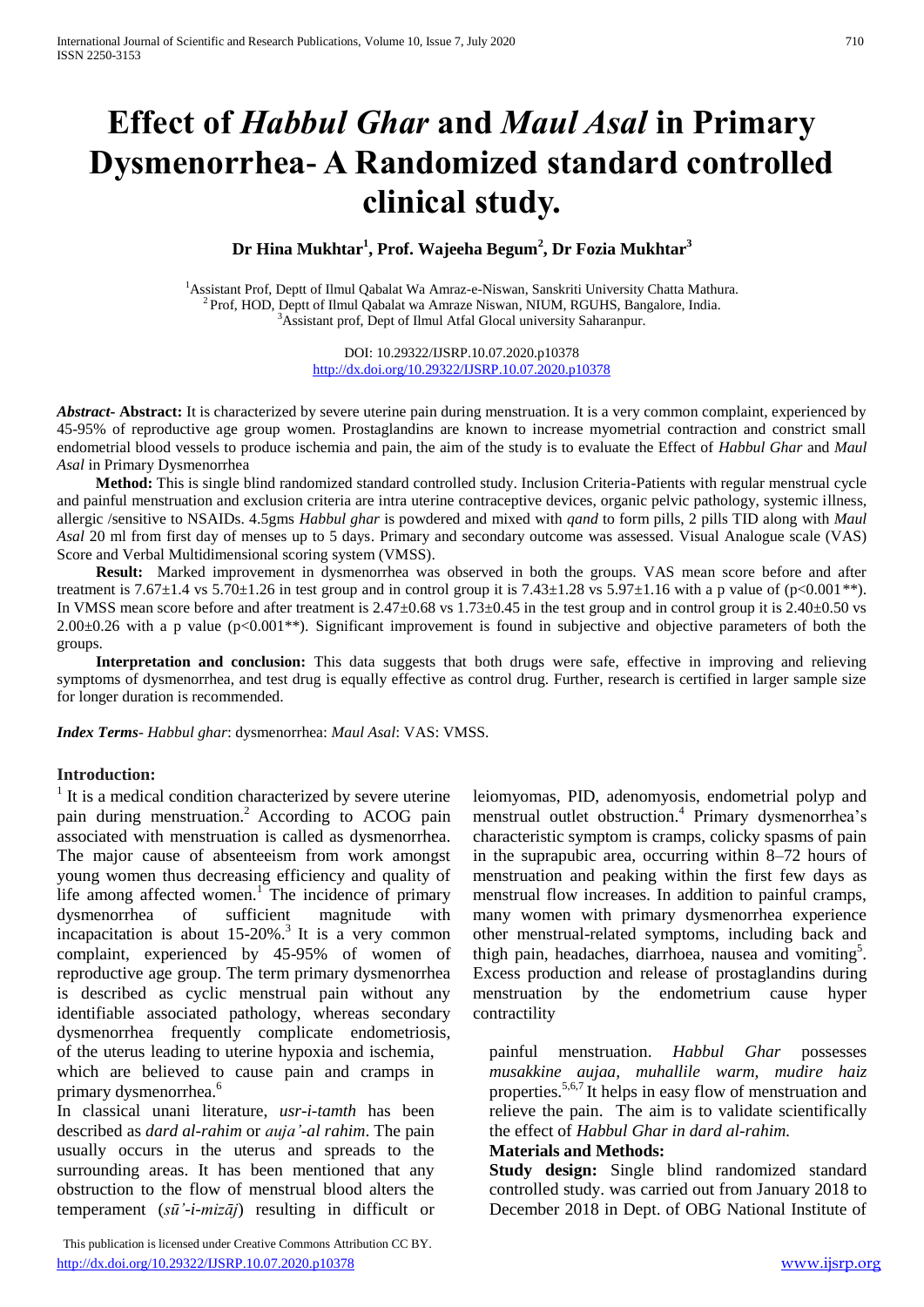# **Effect of** *Habbul Ghar* **and** *Maul Asal* **in Primary Dysmenorrhea- A Randomized standard controlled clinical study.**

**Dr Hina Mukhtar<sup>1</sup> , Prof. Wajeeha Begum<sup>2</sup> , Dr Fozia Mukhtar<sup>3</sup>**

<sup>1</sup>Assistant Prof, Deptt of Ilmul Qabalat Wa Amraz-e-Niswan, Sanskriti University Chatta Mathura. <sup>2</sup> Prof, HOD, Deptt of Ilmul Qabalat wa Amraze Niswan, NIUM, RGUHS, Bangalore, India. <sup>3</sup>Assistant prof, Dept of Ilmul Atfal Glocal university Saharanpur.

> DOI: 10.29322/IJSRP.10.07.2020.p10378 <http://dx.doi.org/10.29322/IJSRP.10.07.2020.p10378>

*Abstract***- Abstract:** It is characterized by severe uterine pain during menstruation. It is a very common complaint, experienced by 45-95% of reproductive age group women. Prostaglandins are known to increase myometrial contraction and constrict small endometrial blood vessels to produce ischemia and pain, the aim of the study is to evaluate the Effect of *Habbul Ghar* and *Maul Asal* in Primary Dysmenorrhea

 **Method:** This is single blind randomized standard controlled study. Inclusion Criteria-Patients with regular menstrual cycle and painful menstruation and exclusion criteria are intra uterine contraceptive devices, organic pelvic pathology, systemic illness, allergic /sensitive to NSAIDs. 4.5gms *Habbul ghar* is powdered and mixed with *qand* to form pills, 2 pills TID along with *Maul Asal* 20 ml from first day of menses up to 5 days. Primary and secondary outcome was assessed. Visual Analogue scale (VAS) Score and Verbal Multidimensional scoring system (VMSS).

 **Result:** Marked improvement in dysmenorrhea was observed in both the groups. VAS mean score before and after treatment is 7.67 $\pm$ 1.4 vs 5.70 $\pm$ 1.26 in test group and in control group it is 7.43 $\pm$ 1.28 vs 5.97 $\pm$ 1.16 with a p value of (p<0.001\*\*). In VMSS mean score before and after treatment is 2.47±0.68 vs 1.73±0.45 in the test group and in control group it is 2.40±0.50 vs  $2.00\pm0.26$  with a p value (p<0.001<sup>\*\*</sup>). Significant improvement is found in subjective and objective parameters of both the groups.

 **Interpretation and conclusion:** This data suggests that both drugs were safe, effective in improving and relieving symptoms of dysmenorrhea, and test drug is equally effective as control drug. Further, research is certified in larger sample size for longer duration is recommended.

*Index Terms*- *Habbul ghar*: dysmenorrhea: *Maul Asal*: VAS: VMSS.

#### **Introduction:**

<sup>1</sup> It is a medical condition characterized by severe uterine pain during menstruation.<sup>2</sup> According to ACOG pain associated with menstruation is called as dysmenorrhea. The major cause of absenteeism from work amongst young women thus decreasing efficiency and quality of life among affected women.<sup>1</sup> The incidence of primary dysmenorrhea of sufficient magnitude with incapacitation is about  $15{\text -}20\%$ .<sup>3</sup> It is a very common complaint, experienced by 45-95% of women of reproductive age group. The term primary dysmenorrhea is described as cyclic menstrual pain without any identifiable associated pathology, whereas secondary dysmenorrhea frequently complicate endometriosis, of the uterus leading to uterine hypoxia and ischemia, which are believed to cause pain and cramps in primary dysmenorrhea.<sup>6</sup>

In classical unani literature, *usr-i-tamth* has been described as *dard al-rahim* or *auja'-al rahim*. The pain usually occurs in the uterus and spreads to the surrounding areas. It has been mentioned that any obstruction to the flow of menstrual blood alters the temperament (*sū'-i-mizāj*) resulting in difficult or

 This publication is licensed under Creative Commons Attribution CC BY. <http://dx.doi.org/10.29322/IJSRP.10.07.2020.p10378>[www.ijsrp.org](http://ijsrp.org/)

leiomyomas, PID, adenomyosis, endometrial polyp and menstrual outlet obstruction.<sup>4</sup> Primary dysmenorrhea's characteristic symptom is cramps, colicky spasms of pain in the suprapubic area, occurring within 8–72 hours of menstruation and peaking within the first few days as menstrual flow increases. In addition to painful cramps, many women with primary dysmenorrhea experience other menstrual-related symptoms, including back and thigh pain, headaches, diarrhoea, nausea and vomiting<sup>5</sup>. Excess production and release of prostaglandins during menstruation by the endometrium cause hyper contractility

painful menstruation. *Habbul Ghar* possesses *musakkine aujaa, muhallile warm, mudire haiz* properties.<sup>5,6,7</sup> It helps in easy flow of menstruation and relieve the pain. The aim is to validate scientifically the effect of *Habbul Ghar in dard al-rahim.*

#### **Materials and Methods:**

**Study design:** Single blind randomized standard controlled study. was carried out from January 2018 to December 2018 in Dept. of OBG National Institute of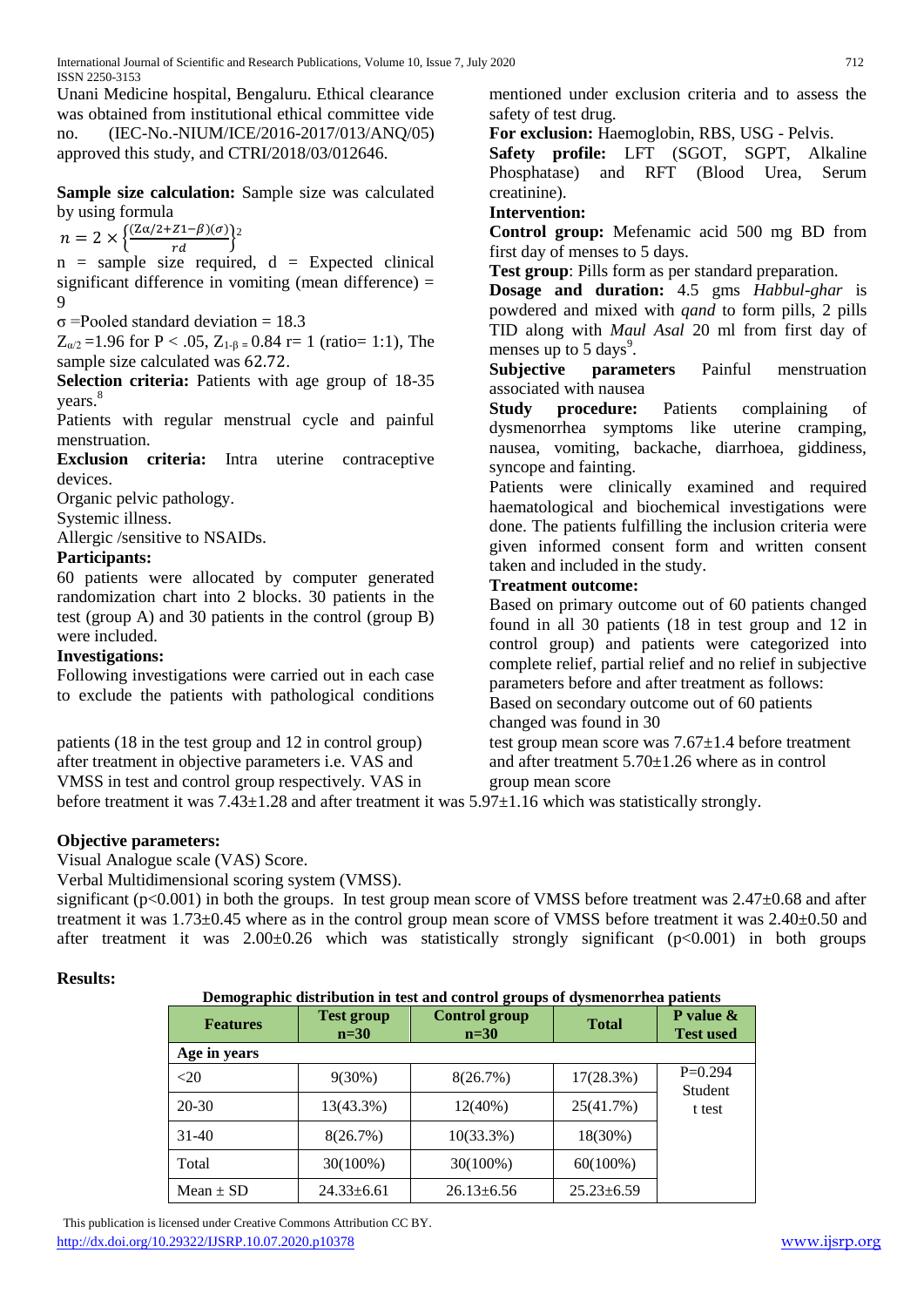Unani Medicine hospital, Bengaluru. Ethical clearance was obtained from institutional ethical committee vide (IEC-No.-NIUM/ICE/2016-2017/013/ANQ/05) approved this study, and CTRI/2018/03/012646.

**Sample size calculation:** Sample size was calculated by using formula

 $n = 2 \times \left\{ \frac{(Z\alpha/2 + Z1 - \beta)(\sigma)}{rd} \right\}^2$ 

 $n =$  sample size required,  $d =$  Expected clinical significant difference in vomiting (mean difference)  $=$ 9

σ =Pooled standard deviation = 18.3

 $Z_{\alpha/2}$  =1.96 for P < .05,  $Z_{1-\beta}$  = 0.84 r= 1 (ratio= 1:1), The sample size calculated was 62.72.

**Selection criteria:** Patients with age group of 18-35 years.<sup>8</sup>

Patients with regular menstrual cycle and painful menstruation.

**Exclusion criteria:** Intra uterine contraceptive devices.

Organic pelvic pathology.

Systemic illness.

Allergic /sensitive to NSAIDs.

# **Participants:**

60 patients were allocated by computer generated randomization chart into 2 blocks. 30 patients in the test (group A) and 30 patients in the control (group B) were included.

#### **Investigations:**

Following investigations were carried out in each case to exclude the patients with pathological conditions

patients (18 in the test group and 12 in control group) after treatment in objective parameters i.e. VAS and

VMSS in test and control group respectively. VAS in

mentioned under exclusion criteria and to assess the safety of test drug.

**For exclusion:** Haemoglobin, RBS, USG - Pelvis.

**Safety profile:** LFT (SGOT, SGPT, Alkaline Phosphatase) and RFT (Blood Urea, Serum creatinine).

#### **Intervention:**

**Control group:** Mefenamic acid 500 mg BD from first day of menses to 5 days.

**Test group**: Pills form as per standard preparation.

**Dosage and duration:** 4.5 gms *Habbul-ghar* is powdered and mixed with *qand* to form pills, 2 pills TID along with *Maul Asal* 20 ml from first day of menses up to  $5 \text{ days}^9$ .

**Subjective parameters** Painful menstruation associated with nausea

**Study procedure:** Patients complaining of dysmenorrhea symptoms like uterine cramping, nausea, vomiting, backache, diarrhoea, giddiness, syncope and fainting.

Patients were clinically examined and required haematological and biochemical investigations were done. The patients fulfilling the inclusion criteria were given informed consent form and written consent taken and included in the study.

# **Treatment outcome:**

Based on primary outcome out of 60 patients changed found in all 30 patients (18 in test group and 12 in control group) and patients were categorized into complete relief, partial relief and no relief in subjective parameters before and after treatment as follows: Based on secondary outcome out of 60 patients changed was found in 30

test group mean score was  $7.67 \pm 1.4$  before treatment and after treatment 5.70±1.26 where as in control group mean score

before treatment it was 7.43±1.28 and after treatment it was 5.97±1.16 which was statistically strongly.

# **Objective parameters:**

Visual Analogue scale (VAS) Score.

Verbal Multidimensional scoring system (VMSS).

significant (p<0.001) in both the groups. In test group mean score of VMSS before treatment was 2.47±0.68 and after treatment it was 1.73±0.45 where as in the control group mean score of VMSS before treatment it was 2.40±0.50 and after treatment it was  $2.00\pm0.26$  which was statistically strongly significant ( $p<0.001$ ) in both groups

# **Results:**

#### **Demographic distribution in test and control groups of dysmenorrhea patients**

| <b>Features</b> | <b>Test group</b><br>$n=30$ | <b>Control group</b><br>$n=30$ | <b>Total</b>     | P value $\&$<br><b>Test used</b> |
|-----------------|-----------------------------|--------------------------------|------------------|----------------------------------|
| Age in years    |                             |                                |                  |                                  |
| $<$ 20          | $9(30\%)$                   | 8(26.7%)                       | 17(28.3%)        | $P=0.294$<br>Student             |
| $20 - 30$       | 13(43.3%)                   | $12(40\%)$                     | 25(41.7%)        | t test                           |
| 31-40           | 8(26.7%)                    | $10(33.3\%)$                   | 18(30%)          |                                  |
| Total           | $30(100\%)$                 | $30(100\%)$                    | $60(100\%)$      |                                  |
| Mean $\pm$ SD   | $24.33 \pm 6.61$            | $26.13 \pm 6.56$               | $25.23 \pm 6.59$ |                                  |

 This publication is licensed under Creative Commons Attribution CC BY. <http://dx.doi.org/10.29322/IJSRP.10.07.2020.p10378>[www.ijsrp.org](http://ijsrp.org/)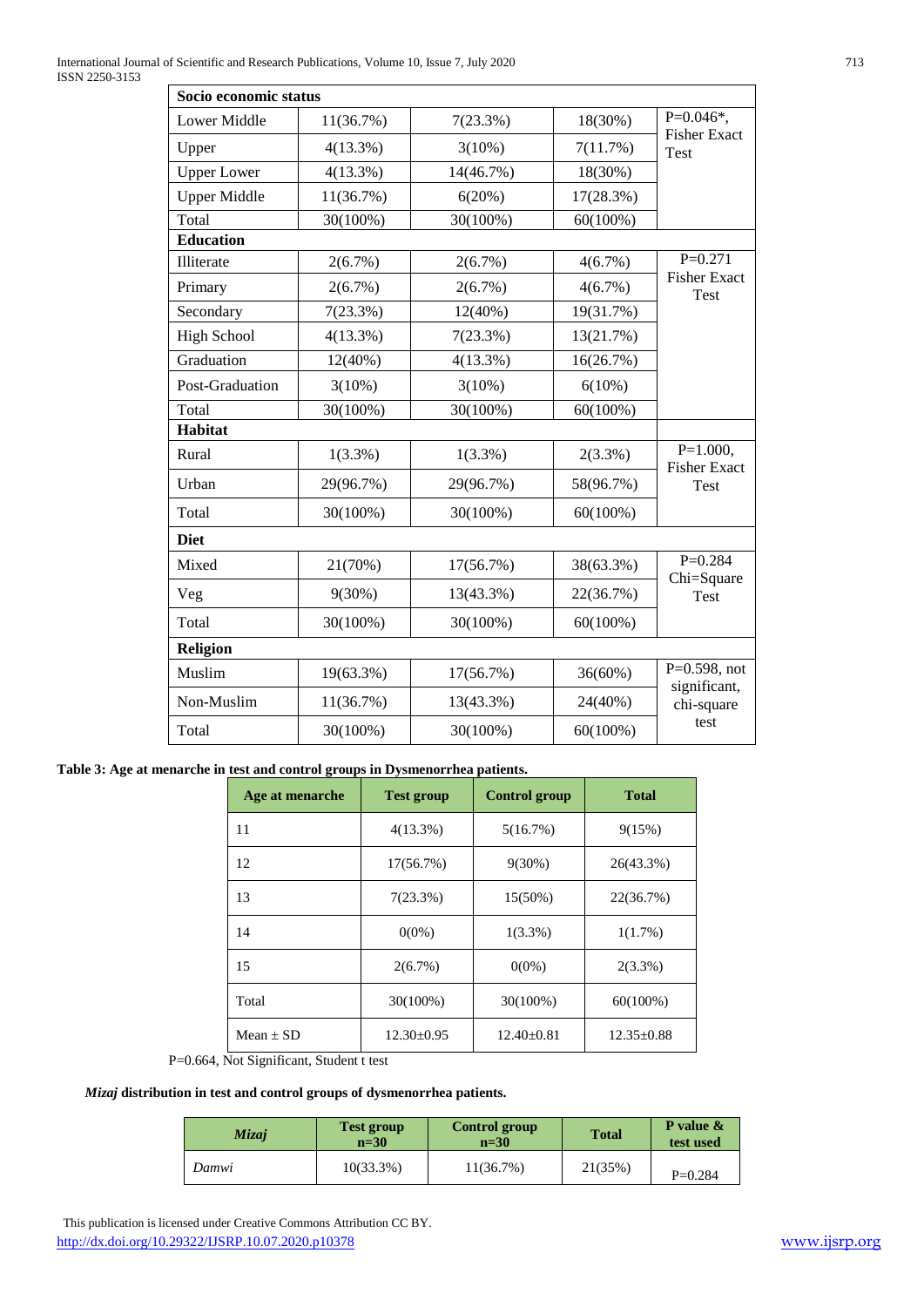| Socio economic status |             |            |             |                                    |  |
|-----------------------|-------------|------------|-------------|------------------------------------|--|
| <b>Lower Middle</b>   | 11(36.7%)   | 7(23.3%)   | 18(30%)     | $P=0.046*,$<br><b>Fisher Exact</b> |  |
| Upper                 | 4(13.3%)    | 3(10%)     | 7(11.7%)    | Test                               |  |
| <b>Upper Lower</b>    | 4(13.3%)    | 14(46.7%)  | 18(30%)     |                                    |  |
| <b>Upper Middle</b>   | 11(36.7%)   | 6(20%)     | 17(28.3%)   |                                    |  |
| Total                 | 30(100%)    | 30(100%)   | $60(100\%)$ |                                    |  |
| <b>Education</b>      |             |            |             |                                    |  |
| Illiterate            | 2(6.7%)     | 2(6.7%)    | 4(6.7%)     | $P=0.271$                          |  |
| Primary               | 2(6.7%)     | 2(6.7%)    | 4(6.7%)     | <b>Fisher Exact</b><br>Test        |  |
| Secondary             | 7(23.3%)    | $12(40\%)$ | 19(31.7%)   |                                    |  |
| <b>High School</b>    | $4(13.3\%)$ | 7(23.3%)   | 13(21.7%)   |                                    |  |
| Graduation            | 12(40%)     | 4(13.3%)   | 16(26.7%)   |                                    |  |
| Post-Graduation       | 3(10%)      | 3(10%)     | 6(10%)      |                                    |  |
| Total                 | 30(100%)    | 30(100%)   | $60(100\%)$ |                                    |  |
| <b>Habitat</b>        |             |            |             |                                    |  |
| Rural                 | $1(3.3\%)$  | $1(3.3\%)$ | $2(3.3\%)$  | $P=1.000,$<br><b>Fisher Exact</b>  |  |
| Urban                 | 29(96.7%)   | 29(96.7%)  | 58(96.7%)   | <b>Test</b>                        |  |
| Total                 | 30(100%)    | 30(100%)   | $60(100\%)$ |                                    |  |
| <b>Diet</b>           |             |            |             |                                    |  |
| Mixed                 | 21(70%)     | 17(56.7%)  | 38(63.3%)   | $P=0.284$<br>Chi=Square            |  |
| Veg                   | 9(30%)      | 13(43.3%)  | 22(36.7%)   | <b>Test</b>                        |  |
| Total                 | 30(100%)    | 30(100%)   | $60(100\%)$ |                                    |  |
| Religion              |             |            |             |                                    |  |
| Muslim                | 19(63.3%)   | 17(56.7%)  | 36(60%)     | $P=0.598$ , not<br>significant,    |  |
| Non-Muslim            | 11(36.7%)   | 13(43.3%)  | 24(40%)     | chi-square                         |  |
| Total                 | 30(100%)    | 30(100%)   | $60(100\%)$ | test                               |  |

**Table 3: Age at menarche in test and control groups in Dysmenorrhea patients.**

| Age at menarche | <b>Test group</b> | <b>Control group</b> | <b>Total</b>     |
|-----------------|-------------------|----------------------|------------------|
| 11              | $4(13.3\%)$       | 5(16.7%)             | 9(15%)           |
| 12              | 17(56.7%)         | $9(30\%)$            | 26(43.3%)        |
| 13              | $7(23.3\%)$       | $15(50\%)$           | 22(36.7%)        |
| 14              | $0(0\%)$          | $1(3.3\%)$           | $1(1.7\%)$       |
| 15              | $2(6.7\%)$        | $0(0\%)$             | $2(3.3\%)$       |
| Total           | $30(100\%)$       | 30(100%)             | $60(100\%)$      |
| $Mean + SD$     | $12.30 \pm 0.95$  | $12.40 \pm 0.81$     | $12.35 \pm 0.88$ |

P=0.664, Not Significant, Student t test

#### *Mizaj* **distribution in test and control groups of dysmenorrhea patients.**

| Mizaj | <b>Test group</b><br>$n=30$ | Control group<br>$n=30$ | <b>Total</b> | <b>P</b> value $\&$<br>test used |
|-------|-----------------------------|-------------------------|--------------|----------------------------------|
| Damwi | $10(33.3\%)$                | 11(36.7%)               | 21(35%)      | $P=0.284$                        |

 This publication is licensed under Creative Commons Attribution CC BY. http://dx.doi.org/10.29322/IJSRP.10.07.2020.p10378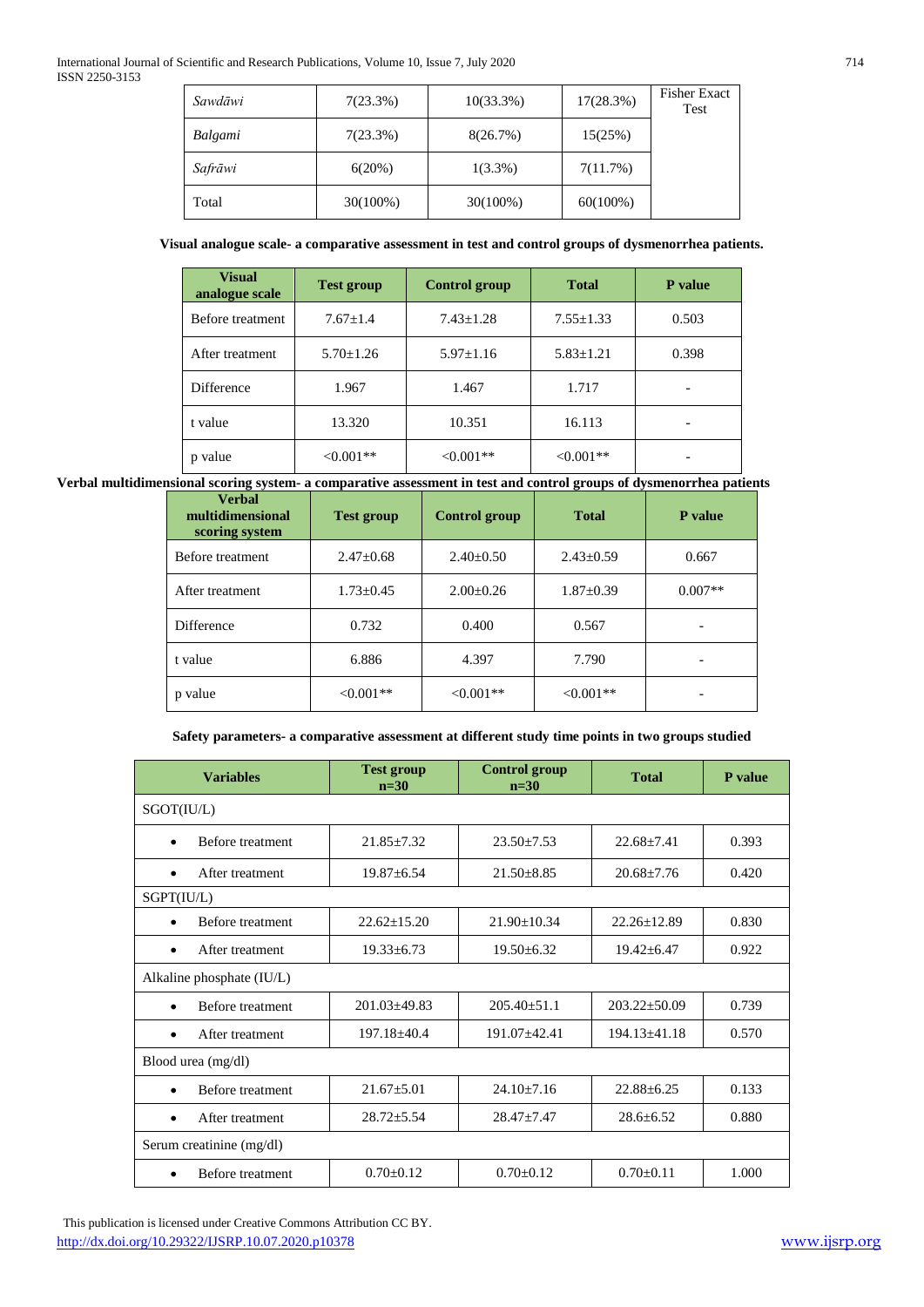| Sawdāwi | 7(23.3%) | $10(33.3\%)$ | 17(28.3%)   | <b>Fisher Exact</b><br>Test |
|---------|----------|--------------|-------------|-----------------------------|
| Balgami | 7(23.3%) | 8(26.7%)     | 15(25%)     |                             |
| Safrāwi | 6(20%)   | $1(3.3\%)$   | 7(11.7%)    |                             |
| Total   | 30(100%) | 30(100%)     | $60(100\%)$ |                             |

#### **Visual analogue scale- a comparative assessment in test and control groups of dysmenorrhea patients.**

| <b>Visual</b><br>analogue scale | <b>Test group</b> | <b>Control group</b> | <b>Total</b>    | P value |
|---------------------------------|-------------------|----------------------|-----------------|---------|
| Before treatment                | $7.67 \pm 1.4$    | $7.43 \pm 1.28$      | $7.55 \pm 1.33$ | 0.503   |
| After treatment                 | $5.70 \pm 1.26$   | $5.97 \pm 1.16$      | $5.83 \pm 1.21$ | 0.398   |
| Difference                      | 1.967             | 1.467                | 1.717           |         |
| t value                         | 13.320            | 10.351               | 16.113          |         |
| value                           | $< 0.001**$       | $< 0.001**$          | $< 0.001**$     |         |

**Verbal multidimensional scoring system- a comparative assessment in test and control groups of dysmenorrhea patients**

| <b>Verhal</b><br>multidimensional<br>scoring system | <b>Test group</b> | <b>Control group</b> | <b>Total</b>    | P value                  |
|-----------------------------------------------------|-------------------|----------------------|-----------------|--------------------------|
| Before treatment                                    | $2.47+0.68$       | $2.40 \pm 0.50$      | $2.43+0.59$     | 0.667                    |
| After treatment                                     | $1.73 \pm 0.45$   | $2.00 \pm 0.26$      | $1.87 \pm 0.39$ | $0.007**$                |
| <b>Difference</b>                                   | 0.732             | 0.400                | 0.567           | -                        |
| t value                                             | 6.886             | 4.397                | 7.790           |                          |
| p value                                             | $< 0.001**$       | $<0.001**$           | $< 0.001**$     | $\overline{\phantom{0}}$ |

#### **Safety parameters- a comparative assessment at different study time points in two groups studied**

| <b>Variables</b>              | <b>Test group</b><br>$n=30$ | <b>Control group</b><br>$n=30$ | <b>Total</b>       | P value |
|-------------------------------|-----------------------------|--------------------------------|--------------------|---------|
| SGOT(IU/L)                    |                             |                                |                    |         |
| Before treatment<br>$\bullet$ | $21.85 \pm 7.32$            | $23.50 \pm 7.53$               | $22.68 + 7.41$     | 0.393   |
| After treatment<br>٠          | $19.87 + 6.54$              | $21.50 + 8.85$                 | $20.68 + 7.76$     | 0.420   |
| SGPT(IU/L)                    |                             |                                |                    |         |
| Before treatment<br>٠         | $22.62 + 15.20$             | $21.90 + 10.34$                | $22.26 + 12.89$    | 0.830   |
| After treatment<br>$\bullet$  | $19.33 + 6.73$              | $19.50 \pm 6.32$               | $19.42 \pm 6.47$   | 0.922   |
| Alkaline phosphate (IU/L)     |                             |                                |                    |         |
| Before treatment<br>$\bullet$ | $201.03 \pm 49.83$          | $205.40 + 51.1$                | $203.22 \pm 50.09$ | 0.739   |
| After treatment<br>$\bullet$  | $197.18 + 40.4$             | $191.07 + 42.41$               | $194.13 + 41.18$   | 0.570   |
| Blood urea (mg/dl)            |                             |                                |                    |         |
| Before treatment<br>$\bullet$ | $21.67 + 5.01$              | $24.10 + 7.16$                 | $22.88 + 6.25$     | 0.133   |
| After treatment               | $28.72 + 5.54$              | $28.47 + 7.47$                 | $28.6 + 6.52$      | 0.880   |
| Serum creatinine (mg/dl)      |                             |                                |                    |         |
| <b>Before</b> treatment       | $0.70 \pm 0.12$             | $0.70 \pm 0.12$                | $0.70 \pm 0.11$    | 1.000   |

 This publication is licensed under Creative Commons Attribution CC BY. http://dx.doi.org/10.29322/IJSRP.10.07.2020.p10378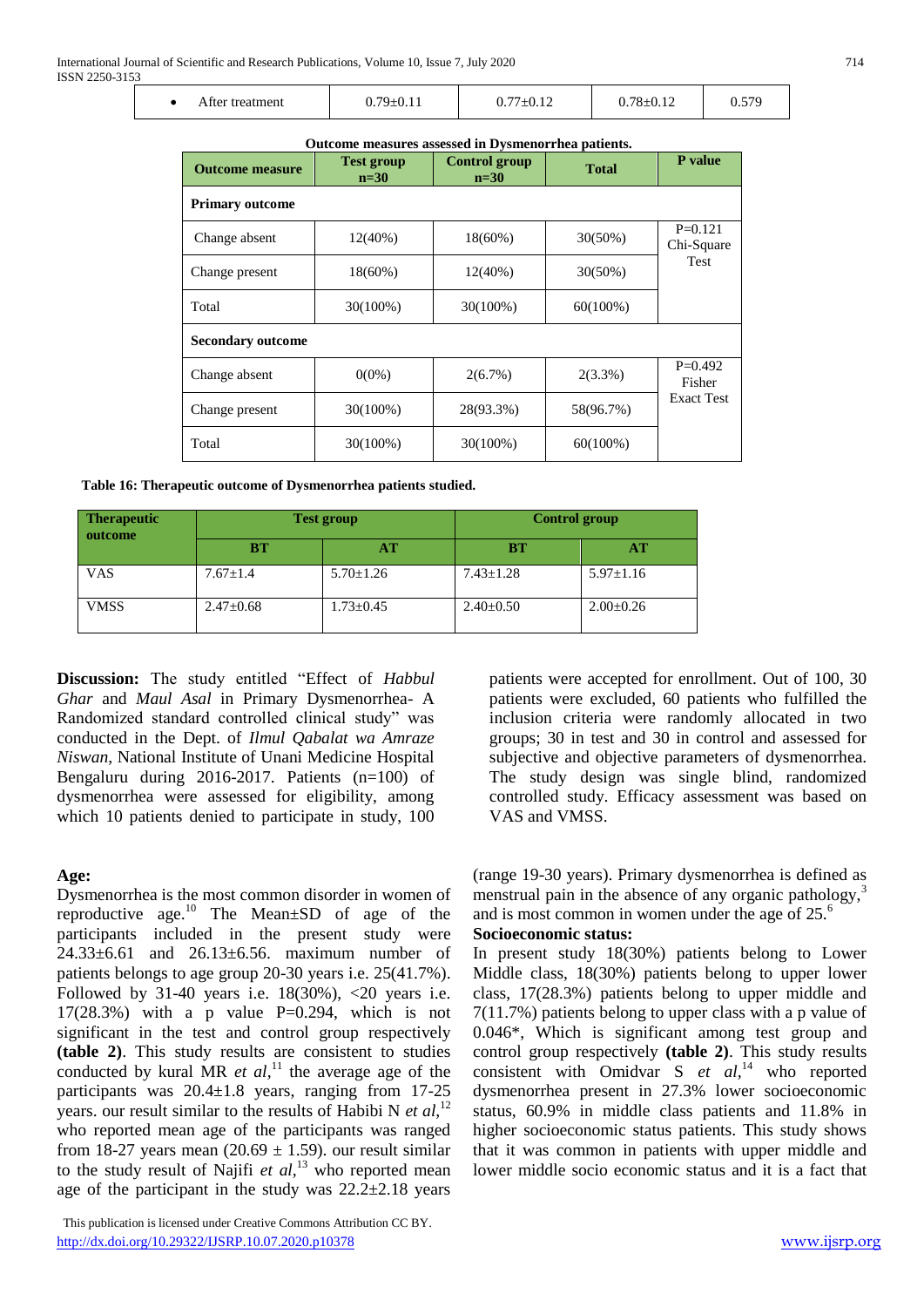|  | After treatment | $79 \pm 0.11$ | $0.77 \pm 0.12$ | $0.78 \pm 0.12$ | 570 |
|--|-----------------|---------------|-----------------|-----------------|-----|
|--|-----------------|---------------|-----------------|-----------------|-----|

#### **Outcome measures assessed in Dysmenorrhea patients.**

| <b>Outcome measure</b>   | <b>Test group</b><br>$n=30$ | <b>Control group</b><br>$n=30$ | <b>Total</b> | P value                 |  |  |
|--------------------------|-----------------------------|--------------------------------|--------------|-------------------------|--|--|
| <b>Primary outcome</b>   |                             |                                |              |                         |  |  |
| Change absent            | $12(40\%)$                  | $18(60\%)$                     | $30(50\%)$   | $P=0.121$<br>Chi-Square |  |  |
| Change present           | $18(60\%)$                  | $12(40\%)$                     | $30(50\%)$   | Test                    |  |  |
| Total                    | $30(100\%)$                 | $30(100\%)$                    | $60(100\%)$  |                         |  |  |
| <b>Secondary outcome</b> |                             |                                |              |                         |  |  |
| Change absent            | $0(0\%)$                    | $2(6.7\%)$                     | $2(3.3\%)$   | $P=0.492$<br>Fisher     |  |  |
| Change present           | 30(100%)                    | 28(93.3%)                      | 58(96.7%)    | <b>Exact Test</b>       |  |  |
| Total                    | 30(100%)                    | 30(100%)                       | $60(100\%)$  |                         |  |  |

**Table 16: Therapeutic outcome of Dysmenorrhea patients studied.**

| <b>Therapeutic</b><br>outcome | <b>Test group</b> |                 | Control group   |                 |
|-------------------------------|-------------------|-----------------|-----------------|-----------------|
|                               | <b>BT</b>         | AТ              | BТ              | AT              |
| VAS                           | $7.67 \pm 1.4$    | $5.70 \pm 1.26$ | $7.43 \pm 1.28$ | $5.97 \pm 1.16$ |
| <b>VMSS</b>                   | $2.47 \pm 0.68$   | $1.73 \pm 0.45$ | $2.40 \pm 0.50$ | $2.00 \pm 0.26$ |

**Discussion:** The study entitled "Effect of *Habbul Ghar* and *Maul Asal* in Primary Dysmenorrhea- A Randomized standard controlled clinical study" was conducted in the Dept. of *Ilmul Qabalat wa Amraze Niswan,* National Institute of Unani Medicine Hospital Bengaluru during 2016-2017. Patients (n=100) of dysmenorrhea were assessed for eligibility, among which 10 patients denied to participate in study, 100

#### **Age:**

Dysmenorrhea is the most common disorder in women of reproductive age. $^{10}$  The Mean $\pm$ SD of age of the participants included in the present study were 24.33±6.61 and 26.13±6.56. maximum number of patients belongs to age group 20-30 years i.e. 25(41.7%). Followed by 31-40 years i.e.  $18(30\%)$ , <20 years i.e.  $17(28.3%)$  with a p value P=0.294, which is not significant in the test and control group respectively **(table 2)**. This study results are consistent to studies conducted by kural MR *et al*,<sup>11</sup> the average age of the participants was 20.4±1.8 years, ranging from 17-25 years. our result similar to the results of Habibi N *et al,*<sup>12</sup> who reported mean age of the participants was ranged from 18-27 years mean  $(20.69 \pm 1.59)$  our result similar to the study result of Najifi *et al*,<sup>13</sup> who reported mean age of the participant in the study was  $22.2\pm2.18$  years

 This publication is licensed under Creative Commons Attribution CC BY. http://dx.doi.org/10.29322/IJSRP.10.07.2020.p10378

patients were accepted for enrollment. Out of 100, 30 patients were excluded, 60 patients who fulfilled the inclusion criteria were randomly allocated in two groups; 30 in test and 30 in control and assessed for subjective and objective parameters of dysmenorrhea. The study design was single blind, randomized controlled study. Efficacy assessment was based on VAS and VMSS.

(range 19-30 years). Primary dysmenorrhea is defined as menstrual pain in the absence of any organic pathology, $3$ and is most common in women under the age of  $25<sup>6</sup>$ 

#### **Socioeconomic status:**

In present study 18(30%) patients belong to Lower Middle class, 18(30%) patients belong to upper lower class, 17(28.3%) patients belong to upper middle and 7(11.7%) patients belong to upper class with a p value of 0.046\*, Which is significant among test group and control group respectively **(table 2)**. This study results consistent with Omidvar S *et al,*<sup>14</sup> who reported dysmenorrhea present in 27.3% lower socioeconomic status, 60.9% in middle class patients and 11.8% in higher socioeconomic status patients. This study shows that it was common in patients with upper middle and lower middle socio economic status and it is a fact that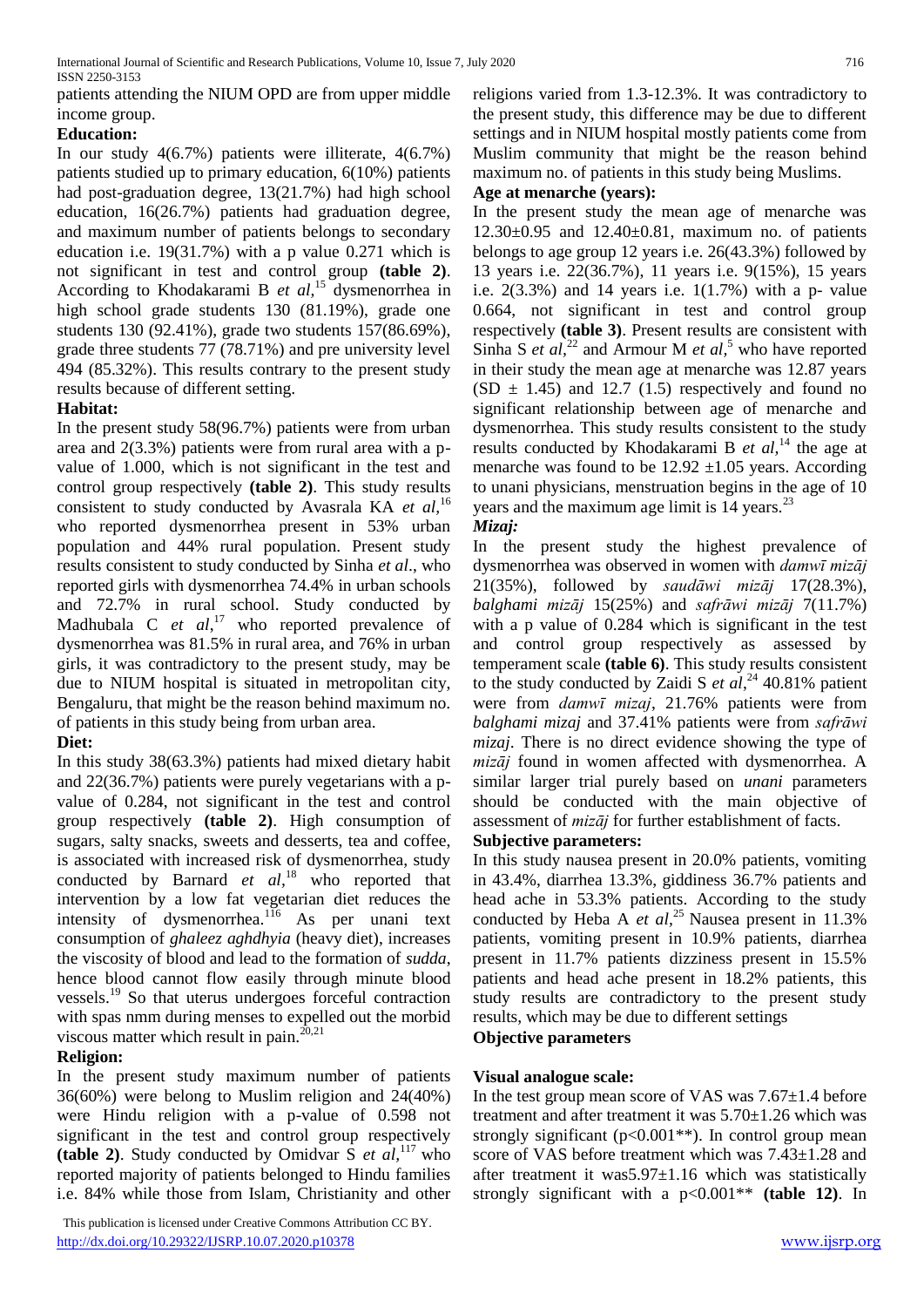patients attending the NIUM OPD are from upper middle income group.

# **Education:**

In our study 4(6.7%) patients were illiterate, 4(6.7%) patients studied up to primary education, 6(10%) patients had post-graduation degree, 13(21.7%) had high school education, 16(26.7%) patients had graduation degree, and maximum number of patients belongs to secondary education i.e. 19(31.7%) with a p value 0.271 which is not significant in test and control group **(table 2)**. According to Khodakarami B *et al,*<sup>15</sup> dysmenorrhea in high school grade students 130 (81.19%), grade one students 130 (92.41%), grade two students 157(86.69%), grade three students 77 (78.71%) and pre university level 494 (85.32%). This results contrary to the present study results because of different setting.

#### **Habitat:**

In the present study 58(96.7%) patients were from urban area and 2(3.3%) patients were from rural area with a pvalue of 1.000, which is not significant in the test and control group respectively **(table 2)**. This study results consistent to study conducted by Avasrala KA *et al,*<sup>16</sup> who reported dysmenorrhea present in 53% urban population and 44% rural population. Present study results consistent to study conducted by Sinha *et al*., who reported girls with dysmenorrhea 74.4% in urban schools and 72.7% in rural school. Study conducted by Madhubala C *et al*, <sup>17</sup> who reported prevalence of dysmenorrhea was 81.5% in rural area, and 76% in urban girls, it was contradictory to the present study, may be due to NIUM hospital is situated in metropolitan city, Bengaluru, that might be the reason behind maximum no. of patients in this study being from urban area.

# **Diet:**

In this study 38(63.3%) patients had mixed dietary habit and 22(36.7%) patients were purely vegetarians with a pvalue of 0.284, not significant in the test and control group respectively **(table 2)**. High consumption of sugars, salty snacks, sweets and desserts, tea and coffee, is associated with increased risk of dysmenorrhea, study conducted by Barnard *et al*,<sup>18</sup> who reported that intervention by a low fat vegetarian diet reduces the intensity of dysmenorrhea.<sup>116</sup> As per unani text consumption of *ghaleez aghdhyia* (heavy diet), increases the viscosity of blood and lead to the formation of *sudda*, hence blood cannot flow easily through minute blood vessels.<sup>19</sup> So that uterus undergoes forceful contraction with spas nmm during menses to expelled out the morbid viscous matter which result in pain. $^{20,21}$ 

# **Religion:**

In the present study maximum number of patients 36(60%) were belong to Muslim religion and 24(40%) were Hindu religion with a p-value of 0.598 not significant in the test and control group respectively (table 2). Study conducted by Omidvar  $\hat{S}$  *et al*,<sup>117</sup> who reported majority of patients belonged to Hindu families i.e. 84% while those from Islam, Christianity and other

 This publication is licensed under Creative Commons Attribution CC BY. http://dx.doi.org/10.29322/IJSRP.10.07.2020.p10378

religions varied from 1.3-12.3%. It was contradictory to the present study, this difference may be due to different settings and in NIUM hospital mostly patients come from Muslim community that might be the reason behind maximum no. of patients in this study being Muslims.

# **Age at menarche (years):**

In the present study the mean age of menarche was  $12.30 \pm 0.95$  and  $12.40 \pm 0.81$ , maximum no. of patients belongs to age group 12 years i.e. 26(43.3%) followed by 13 years i.e. 22(36.7%), 11 years i.e. 9(15%), 15 years i.e.  $2(3.3\%)$  and 14 years i.e.  $1(1.7\%)$  with a p- value 0.664, not significant in test and control group respectively **(table 3)**. Present results are consistent with Sinha S *et al*,<sup>22</sup> and Armour M *et al*,<sup>5</sup> who have reported in their study the mean age at menarche was 12.87 years  $(SD \pm 1.45)$  and 12.7 (1.5) respectively and found no significant relationship between age of menarche and dysmenorrhea. This study results consistent to the study results conducted by Khodakarami B *et al,*<sup>14</sup> the age at menarche was found to be  $12.92 \pm 1.05$  years. According to unani physicians, menstruation begins in the age of 10 years and the maximum age limit is  $14$  years.<sup>23</sup>

#### *Mizaj:*

In the present study the highest prevalence of dysmenorrhea was observed in women with *damwῑ mizāj* 21(35%), followed by *saudāwi mizāj* 17(28.3%), *balghami mizāj* 15(25%) and *safrāwi mizāj* 7(11.7%) with a p value of 0.284 which is significant in the test and control group respectively as assessed by temperament scale **(table 6)**. This study results consistent to the study conducted by Zaidi S *et al*, <sup>24</sup> 40.81% patient were from *damwῑ mizaj*, 21.76% patients were from *balghami mizaj* and 37.41% patients were from *safrāwi mizaj*. There is no direct evidence showing the type of *mizāj* found in women affected with dysmenorrhea. A similar larger trial purely based on *unani* parameters should be conducted with the main objective of assessment of *mizāj* for further establishment of facts.

#### **Subjective parameters:**

In this study nausea present in 20.0% patients, vomiting in 43.4%, diarrhea 13.3%, giddiness 36.7% patients and head ache in 53.3% patients. According to the study conducted by Heba A *et al*,<sup>25</sup> Nausea present in 11.3% patients, vomiting present in 10.9% patients, diarrhea present in 11.7% patients dizziness present in 15.5% patients and head ache present in 18.2% patients, this study results are contradictory to the present study results, which may be due to different settings

# **Objective parameters**

#### **Visual analogue scale:**

In the test group mean score of VAS was 7.67±1.4 before treatment and after treatment it was  $5.70\pm1.26$  which was strongly significant ( $p<0.001**$ ). In control group mean score of VAS before treatment which was 7.43±1.28 and after treatment it was 5.97 $\pm$ 1.16 which was statistically strongly significant with a p<0.001\*\* **(table 12)**. In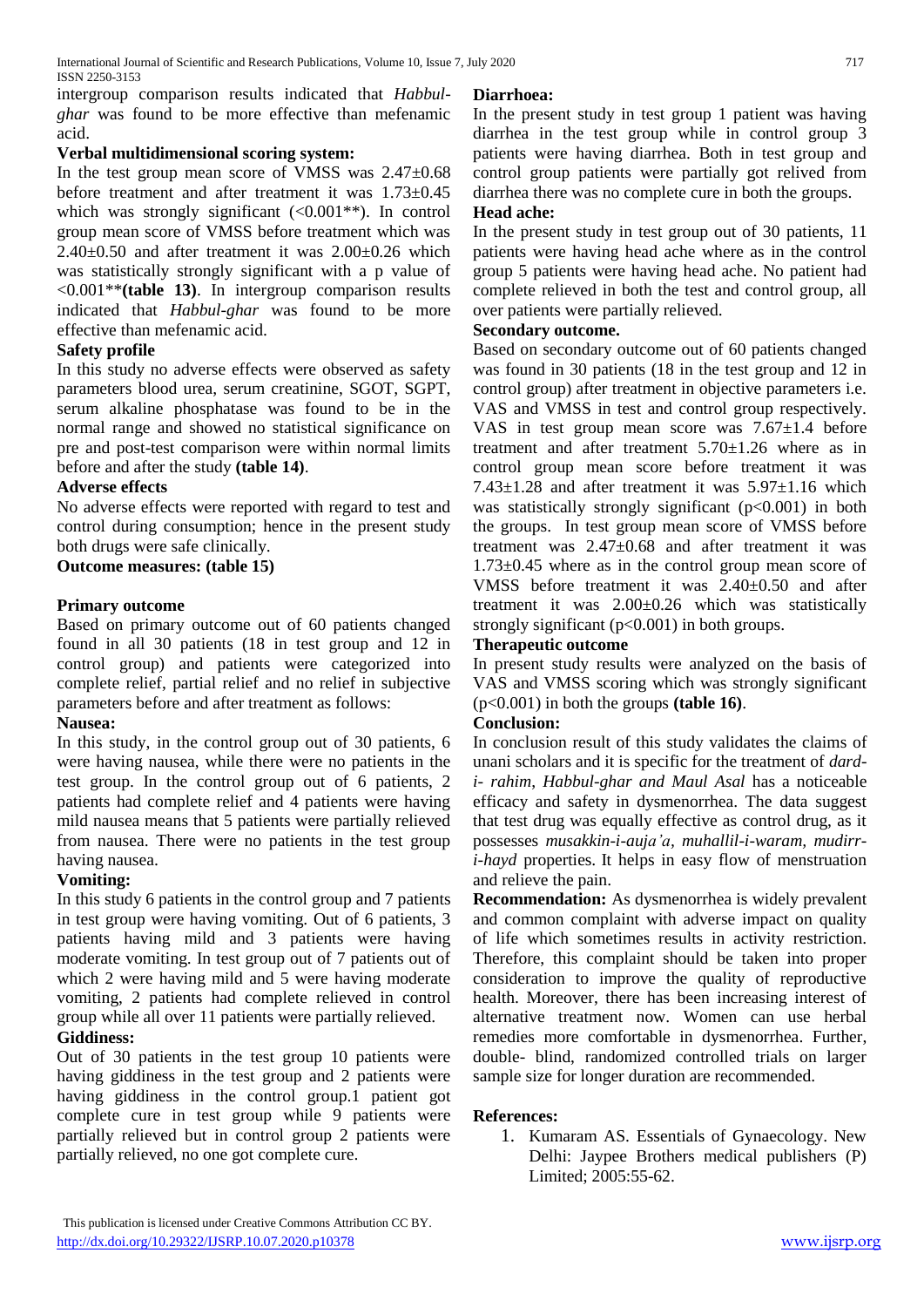intergroup comparison results indicated that *Habbulghar* was found to be more effective than mefenamic acid.

# **Verbal multidimensional scoring system:**

In the test group mean score of VMSS was 2.47±0.68 before treatment and after treatment it was 1.73±0.45 which was strongly significant  $(<0.001**)$ . In control group mean score of VMSS before treatment which was  $2.40\pm0.50$  and after treatment it was  $2.00\pm0.26$  which was statistically strongly significant with a p value of <0.001\*\***(table 13)**. In intergroup comparison results indicated that *Habbul-ghar* was found to be more effective than mefenamic acid.

#### **Safety profile**

In this study no adverse effects were observed as safety parameters blood urea, serum creatinine, SGOT, SGPT, serum alkaline phosphatase was found to be in the normal range and showed no statistical significance on pre and post-test comparison were within normal limits before and after the study **(table 14)**.

#### **Adverse effects**

No adverse effects were reported with regard to test and control during consumption; hence in the present study both drugs were safe clinically.

# **Outcome measures: (table 15)**

#### **Primary outcome**

Based on primary outcome out of 60 patients changed found in all 30 patients (18 in test group and 12 in control group) and patients were categorized into complete relief, partial relief and no relief in subjective parameters before and after treatment as follows:

#### **Nausea:**

In this study, in the control group out of 30 patients, 6 were having nausea, while there were no patients in the test group. In the control group out of 6 patients, 2 patients had complete relief and 4 patients were having mild nausea means that 5 patients were partially relieved from nausea. There were no patients in the test group having nausea.

#### **Vomiting:**

In this study 6 patients in the control group and 7 patients in test group were having vomiting. Out of 6 patients, 3 patients having mild and 3 patients were having moderate vomiting. In test group out of 7 patients out of which 2 were having mild and 5 were having moderate vomiting, 2 patients had complete relieved in control group while all over 11 patients were partially relieved.

# **Giddiness:**

Out of 30 patients in the test group 10 patients were having giddiness in the test group and 2 patients were having giddiness in the control group.1 patient got complete cure in test group while 9 patients were partially relieved but in control group 2 patients were partially relieved, no one got complete cure.

#### **Diarrhoea:**

In the present study in test group 1 patient was having diarrhea in the test group while in control group 3 patients were having diarrhea. Both in test group and control group patients were partially got relived from diarrhea there was no complete cure in both the groups.

#### **Head ache:**

In the present study in test group out of 30 patients, 11 patients were having head ache where as in the control group 5 patients were having head ache. No patient had complete relieved in both the test and control group, all over patients were partially relieved.

#### **Secondary outcome.**

Based on secondary outcome out of 60 patients changed was found in 30 patients (18 in the test group and 12 in control group) after treatment in objective parameters i.e. VAS and VMSS in test and control group respectively. VAS in test group mean score was  $7.67 \pm 1.4$  before treatment and after treatment  $5.70 \pm 1.26$  where as in control group mean score before treatment it was  $7.43\pm1.28$  and after treatment it was  $5.97\pm1.16$  which was statistically strongly significant (p<0.001) in both the groups. In test group mean score of VMSS before treatment was 2.47±0.68 and after treatment it was 1.73±0.45 where as in the control group mean score of VMSS before treatment it was 2.40±0.50 and after treatment it was 2.00±0.26 which was statistically strongly significant  $(p<0.001)$  in both groups.

#### **Therapeutic outcome**

In present study results were analyzed on the basis of VAS and VMSS scoring which was strongly significant (p<0.001) in both the groups **(table 16)**.

#### **Conclusion:**

In conclusion result of this study validates the claims of unani scholars and it is specific for the treatment of *dardi- rahim*, *Habbul-ghar and Maul Asal* has a noticeable efficacy and safety in dysmenorrhea. The data suggest that test drug was equally effective as control drug, as it possesses *musakkin-i-auja'a, muhallil-i-waram, mudirri-hayd* properties. It helps in easy flow of menstruation and relieve the pain.

**Recommendation:** As dysmenorrhea is widely prevalent and common complaint with adverse impact on quality of life which sometimes results in activity restriction. Therefore, this complaint should be taken into proper consideration to improve the quality of reproductive health. Moreover, there has been increasing interest of alternative treatment now. Women can use herbal remedies more comfortable in dysmenorrhea. Further, double- blind, randomized controlled trials on larger sample size for longer duration are recommended.

#### **References:**

1. Kumaram AS. Essentials of Gynaecology. New Delhi: Jaypee Brothers medical publishers (P) Limited; 2005:55-62.